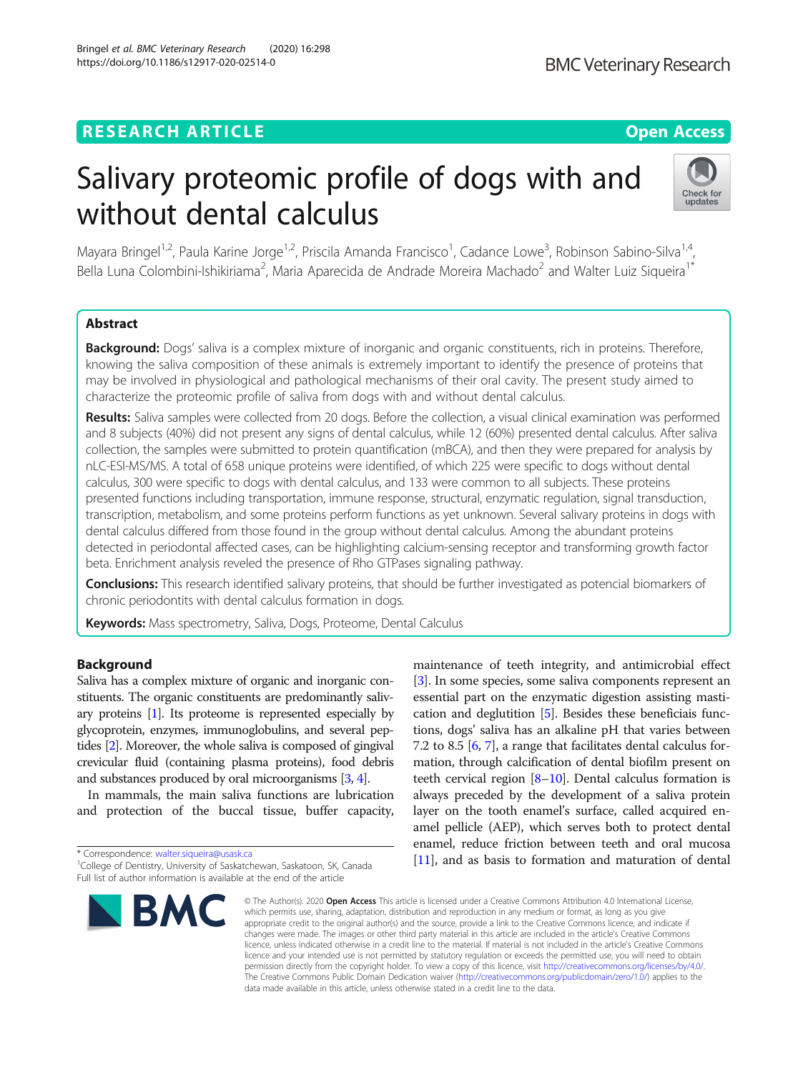# **RESEARCH ARTICLE Example 2014 12:30 The Open Access**

Bringel et al. BMC Veterinary Research (2020) 16:298

# Salivary proteomic profile of dogs with and without dental calculus

Mayara Bringel<sup>1,2</sup>, Paula Karine Jorge<sup>1,2</sup>, Priscila Amanda Francisco<sup>1</sup>, Cadance Lowe<sup>3</sup>, Robinson Sabino-Silva<sup>1,4</sup>, Bella Luna Colombini-Ishikiriama<sup>2</sup>, Maria Aparecida de Andrade Moreira Machado<sup>2</sup> and Walter Luiz Siqueira<sup>1\*</sup>

# Abstract

Background: Dogs' saliva is a complex mixture of inorganic and organic constituents, rich in proteins. Therefore, knowing the saliva composition of these animals is extremely important to identify the presence of proteins that may be involved in physiological and pathological mechanisms of their oral cavity. The present study aimed to characterize the proteomic profile of saliva from dogs with and without dental calculus.

Results: Saliva samples were collected from 20 dogs. Before the collection, a visual clinical examination was performed and 8 subjects (40%) did not present any signs of dental calculus, while 12 (60%) presented dental calculus. After saliva collection, the samples were submitted to protein quantification (mBCA), and then they were prepared for analysis by nLC-ESI-MS/MS. A total of 658 unique proteins were identified, of which 225 were specific to dogs without dental calculus, 300 were specific to dogs with dental calculus, and 133 were common to all subjects. These proteins presented functions including transportation, immune response, structural, enzymatic regulation, signal transduction, transcription, metabolism, and some proteins perform functions as yet unknown. Several salivary proteins in dogs with dental calculus differed from those found in the group without dental calculus. Among the abundant proteins detected in periodontal affected cases, can be highlighting calcium-sensing receptor and transforming growth factor beta. Enrichment analysis reveled the presence of Rho GTPases signaling pathway.

Conclusions: This research identified salivary proteins, that should be further investigated as potencial biomarkers of chronic periodontits with dental calculus formation in dogs.

Keywords: Mass spectrometry, Saliva, Dogs, Proteome, Dental Calculus

## Background

Saliva has a complex mixture of organic and inorganic constituents. The organic constituents are predominantly salivary proteins [[1](#page-10-0)]. Its proteome is represented especially by glycoprotein, enzymes, immunoglobulins, and several peptides [\[2\]](#page-10-0). Moreover, the whole saliva is composed of gingival crevicular fluid (containing plasma proteins), food debris and substances produced by oral microorganisms [\[3,](#page-10-0) [4\]](#page-10-0).

In mammals, the main saliva functions are lubrication and protection of the buccal tissue, buffer capacity,

\* Correspondence: [walter.siqueira@usask.ca](mailto:walter.siqueira@usask.ca) <sup>1</sup>

https://doi.org/10.1186/s12917-020-02514-0

maintenance of teeth integrity, and antimicrobial effect [[3\]](#page-10-0). In some species, some saliva components represent an essential part on the enzymatic digestion assisting mastication and deglutition [\[5](#page-10-0)]. Besides these beneficiais functions, dogs' saliva has an alkaline pH that varies between 7.2 to 8.5 [[6,](#page-10-0) [7](#page-10-0)], a range that facilitates dental calculus formation, through calcification of dental biofilm present on teeth cervical region [\[8](#page-10-0)–[10](#page-10-0)]. Dental calculus formation is always preceded by the development of a saliva protein layer on the tooth enamel's surface, called acquired enamel pellicle (AEP), which serves both to protect dental enamel, reduce friction between teeth and oral mucosa [[11](#page-10-0)], and as basis to formation and maturation of dental

© The Author(s), 2020 **Open Access** This article is licensed under a Creative Commons Attribution 4.0 International License, which permits use, sharing, adaptation, distribution and reproduction in any medium or format, as long as you give appropriate credit to the original author(s) and the source, provide a link to the Creative Commons licence, and indicate if changes were made. The images or other third party material in this article are included in the article's Creative Commons licence, unless indicated otherwise in a credit line to the material. If material is not included in the article's Creative Commons licence and your intended use is not permitted by statutory regulation or exceeds the permitted use, you will need to obtain permission directly from the copyright holder. To view a copy of this licence, visit [http://creativecommons.org/licenses/by/4.0/.](http://creativecommons.org/licenses/by/4.0/) The Creative Commons Public Domain Dedication waiver [\(http://creativecommons.org/publicdomain/zero/1.0/](http://creativecommons.org/publicdomain/zero/1.0/)) applies to the data made available in this article, unless otherwise stated in a credit line to the data.







<sup>&</sup>lt;sup>1</sup>College of Dentistry, University of Saskatchewan, Saskatoon, SK, Canada Full list of author information is available at the end of the article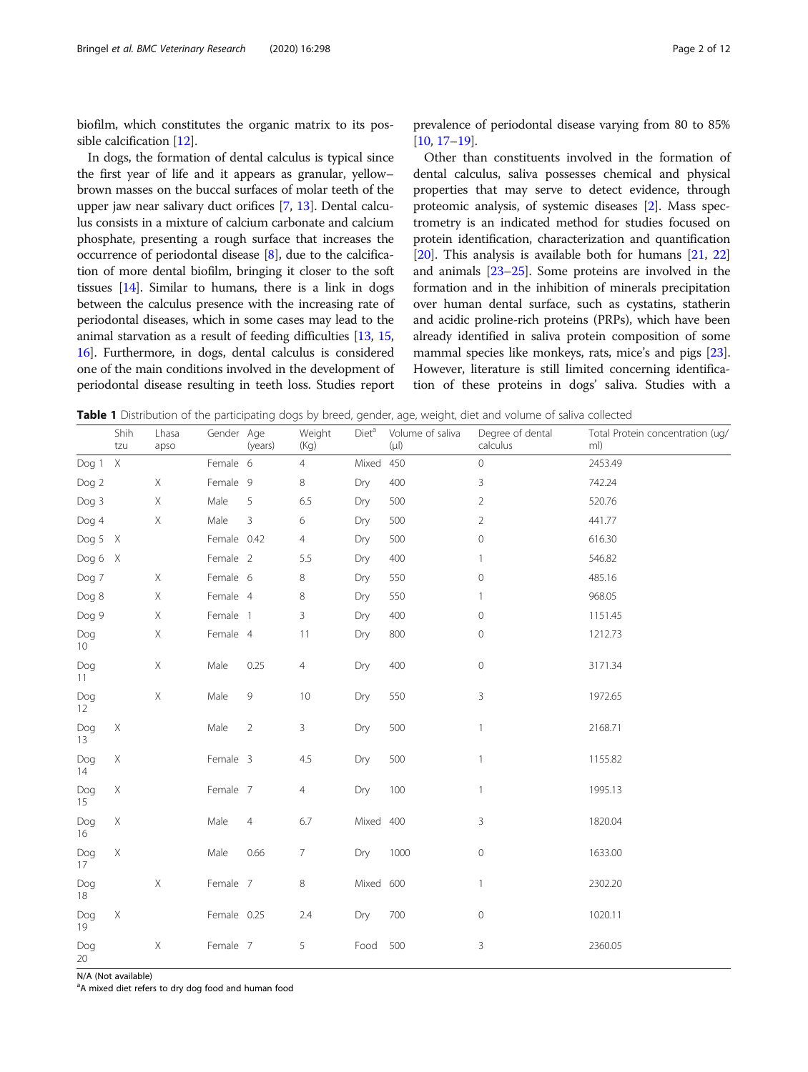<span id="page-1-0"></span>biofilm, which constitutes the organic matrix to its possible calcification [[12](#page-10-0)].

In dogs, the formation of dental calculus is typical since the first year of life and it appears as granular, yellow– brown masses on the buccal surfaces of molar teeth of the upper jaw near salivary duct orifices [[7,](#page-10-0) [13](#page-10-0)]. Dental calculus consists in a mixture of calcium carbonate and calcium phosphate, presenting a rough surface that increases the occurrence of periodontal disease [[8](#page-10-0)], due to the calcification of more dental biofilm, bringing it closer to the soft tissues [[14](#page-10-0)]. Similar to humans, there is a link in dogs between the calculus presence with the increasing rate of periodontal diseases, which in some cases may lead to the animal starvation as a result of feeding difficulties [\[13](#page-10-0), [15](#page-10-0), [16](#page-10-0)]. Furthermore, in dogs, dental calculus is considered one of the main conditions involved in the development of periodontal disease resulting in teeth loss. Studies report

prevalence of periodontal disease varying from 80 to 85% [[10](#page-10-0), [17](#page-10-0)–[19](#page-10-0)].

Other than constituents involved in the formation of dental calculus, saliva possesses chemical and physical properties that may serve to detect evidence, through proteomic analysis, of systemic diseases [[2\]](#page-10-0). Mass spectrometry is an indicated method for studies focused on protein identification, characterization and quantification [[20](#page-10-0)]. This analysis is available both for humans [[21](#page-10-0), [22](#page-10-0)] and animals [[23](#page-10-0)–[25\]](#page-10-0). Some proteins are involved in the formation and in the inhibition of minerals precipitation over human dental surface, such as cystatins, statherin and acidic proline-rich proteins (PRPs), which have been already identified in saliva protein composition of some mammal species like monkeys, rats, mice's and pigs [[23](#page-10-0)]. However, literature is still limited concerning identification of these proteins in dogs' saliva. Studies with a

Table 1 Distribution of the participating dogs by breed, gender, age, weight, diet and volume of saliva collected

|                        | Shih<br>tzu | Lhasa<br>apso | Gender Age  | (years)        | Weight<br>(Kg) |           | Diet <sup>a</sup> Volume of saliva<br>$(\mu$ | and I piscipation of the participating abys by breed, genaci, age, mergin, aret and rolance or sailra conceted<br>Degree of dental<br>calculus | Total Protein concentration (ug/<br>ml) |
|------------------------|-------------|---------------|-------------|----------------|----------------|-----------|----------------------------------------------|------------------------------------------------------------------------------------------------------------------------------------------------|-----------------------------------------|
| Dog 1 X                |             |               | Female 6    |                | $\overline{4}$ | Mixed 450 |                                              | $\mathbf 0$                                                                                                                                    | 2453.49                                 |
| Dog 2                  |             | $\mathsf X$   | Female 9    |                | $\,8\,$        | Dry       | 400                                          | 3                                                                                                                                              | 742.24                                  |
| Dog 3                  |             | $\times$      | Male        | 5              | 6.5            | Dry       | 500                                          | $\overline{2}$                                                                                                                                 | 520.76                                  |
| Dog 4                  |             | X             | Male        | $\mathbf{3}$   | 6              | Dry       | 500                                          | $\overline{2}$                                                                                                                                 | 441.77                                  |
| Dog 5 X                |             |               | Female 0.42 |                | $\overline{4}$ | Dry       | 500                                          | $\circ$                                                                                                                                        | 616.30                                  |
| Dog 6 X                |             |               | Female 2    |                | 5.5            | Dry       | 400                                          | $\mathbf{1}$                                                                                                                                   | 546.82                                  |
| Dog 7                  |             | $\times$      | Female 6    |                | 8              | Dry       | 550                                          | $\circ$                                                                                                                                        | 485.16                                  |
| Dog 8                  |             | $\mathsf X$   | Female 4    |                | 8              | Dry       | 550                                          | $\mathbf{1}$                                                                                                                                   | 968.05                                  |
| Dog 9                  |             | $\mathsf X$   | Female 1    |                | $\mathsf{3}$   | Dry       | 400                                          | $\circ$                                                                                                                                        | 1151.45                                 |
| Dog<br>10 <sup>°</sup> |             | X             | Female 4    |                | 11             | Dry       | 800                                          | $\circ$                                                                                                                                        | 1212.73                                 |
| Dog<br>11              |             | $\times$      | Male        | 0.25           | $\overline{4}$ | Dry       | 400                                          | $\mathbf 0$                                                                                                                                    | 3171.34                                 |
| Dog<br>12              |             | $\mathsf X$   | Male        | 9              | 10             | Dry       | 550                                          | 3                                                                                                                                              | 1972.65                                 |
| Dog<br>13              | X           |               | Male        | $\overline{2}$ | 3              | Dry       | 500                                          | $\mathbf{1}$                                                                                                                                   | 2168.71                                 |
| Dog<br>14              | X           |               | Female 3    |                | 4.5            | Dry       | 500                                          | $\mathbf{1}$                                                                                                                                   | 1155.82                                 |
| Dog<br>15              | $\times$    |               | Female 7    |                | $\overline{4}$ | Dry       | 100                                          | $\mathbf{1}$                                                                                                                                   | 1995.13                                 |
| Dog<br>16              | X           |               | Male        | $\overline{4}$ | 6.7            | Mixed 400 |                                              | 3                                                                                                                                              | 1820.04                                 |
| Dog<br>17              | X           |               | Male        | 0.66           | 7              | Dry       | 1000                                         | $\mathbf 0$                                                                                                                                    | 1633.00                                 |
| Dog<br>18              |             | X             | Female 7    |                | 8              | Mixed 600 |                                              | $\mathbf{1}$                                                                                                                                   | 2302.20                                 |
| Dog<br>19              | Χ           |               | Female 0.25 |                | 2.4            | Dry       | 700                                          | $\mathbf 0$                                                                                                                                    | 1020.11                                 |
| Dog<br>20              |             | $\times$      | Female 7    |                | 5              | Food 500  |                                              | 3                                                                                                                                              | 2360.05                                 |

N/A (Not available)

<sup>a</sup>A mixed diet refers to dry dog food and human food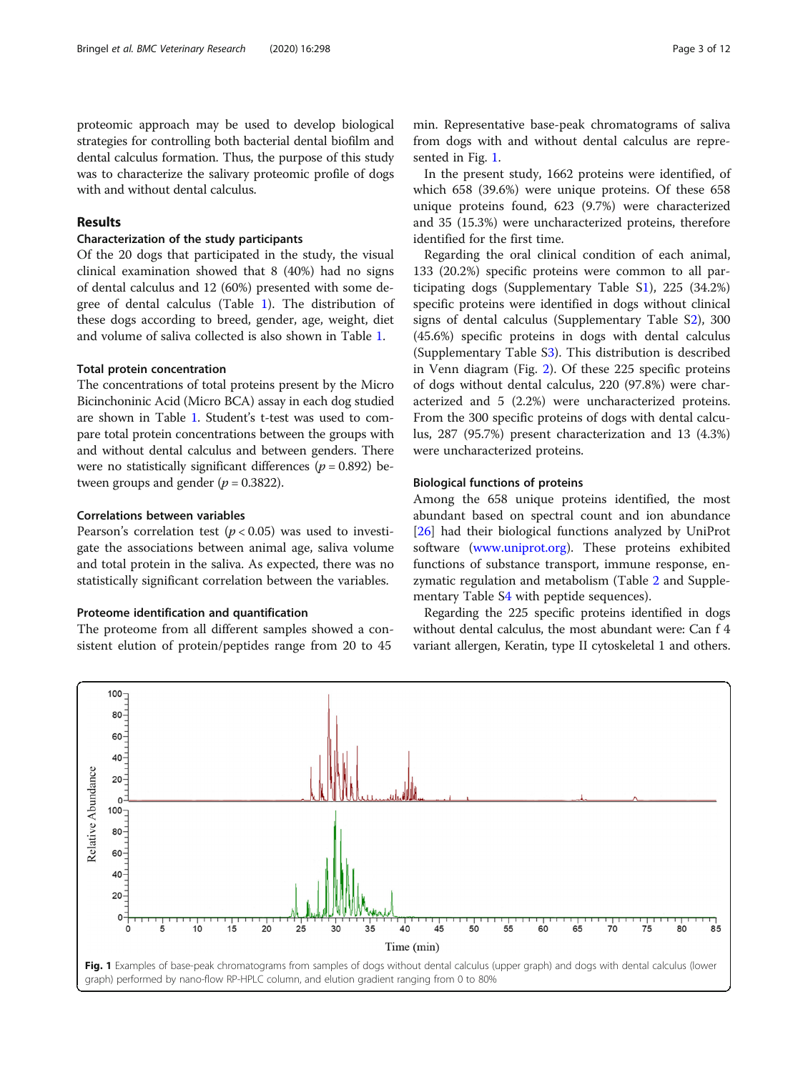proteomic approach may be used to develop biological strategies for controlling both bacterial dental biofilm and dental calculus formation. Thus, the purpose of this study was to characterize the salivary proteomic profile of dogs with and without dental calculus.

## Results

## Characterization of the study participants

Of the 20 dogs that participated in the study, the visual clinical examination showed that 8 (40%) had no signs of dental calculus and 12 (60%) presented with some degree of dental calculus (Table [1](#page-1-0)). The distribution of these dogs according to breed, gender, age, weight, diet and volume of saliva collected is also shown in Table [1](#page-1-0).

## Total protein concentration

The concentrations of total proteins present by the Micro Bicinchoninic Acid (Micro BCA) assay in each dog studied are shown in Table [1.](#page-1-0) Student's t-test was used to compare total protein concentrations between the groups with and without dental calculus and between genders. There were no statistically significant differences ( $p = 0.892$ ) between groups and gender ( $p = 0.3822$ ).

#### Correlations between variables

Pearson's correlation test ( $p < 0.05$ ) was used to investigate the associations between animal age, saliva volume and total protein in the saliva. As expected, there was no statistically significant correlation between the variables.

## Proteome identification and quantification

The proteome from all different samples showed a consistent elution of protein/peptides range from 20 to 45

min. Representative base-peak chromatograms of saliva from dogs with and without dental calculus are represented in Fig. 1.

In the present study, 1662 proteins were identified, of which 658 (39.6%) were unique proteins. Of these 658 unique proteins found, 623 (9.7%) were characterized and 35 (15.3%) were uncharacterized proteins, therefore identified for the first time.

Regarding the oral clinical condition of each animal, 133 (20.2%) specific proteins were common to all participating dogs (Supplementary Table S[1\)](#page-9-0), 225 (34.2%) specific proteins were identified in dogs without clinical signs of dental calculus (Supplementary Table [S2](#page-9-0)), 300 (45.6%) specific proteins in dogs with dental calculus (Supplementary Table S[3\)](#page-9-0). This distribution is described in Venn diagram (Fig. [2](#page-3-0)). Of these 225 specific proteins of dogs without dental calculus, 220 (97.8%) were characterized and 5 (2.2%) were uncharacterized proteins. From the 300 specific proteins of dogs with dental calculus, 287 (95.7%) present characterization and 13 (4.3%) were uncharacterized proteins.

#### Biological functions of proteins

Among the 658 unique proteins identified, the most abundant based on spectral count and ion abundance [[26\]](#page-10-0) had their biological functions analyzed by UniProt software ([www.uniprot.org\)](http://www.uniprot.org). These proteins exhibited functions of substance transport, immune response, enzymatic regulation and metabolism (Table [2](#page-3-0) and Supple-mentary Table [S4](#page-9-0) with peptide sequences).

Regarding the 225 specific proteins identified in dogs without dental calculus, the most abundant were: Can f 4 variant allergen, Keratin, type II cytoskeletal 1 and others.

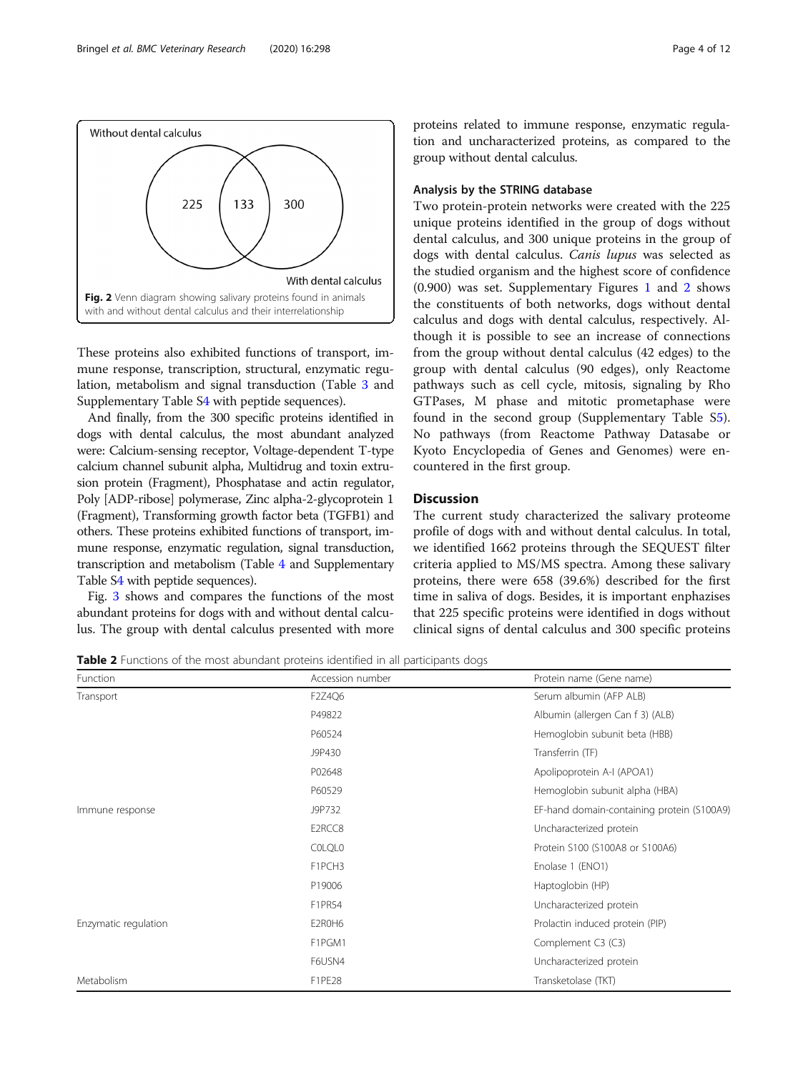<span id="page-3-0"></span>

These proteins also exhibited functions of transport, immune response, transcription, structural, enzymatic regulation, metabolism and signal transduction (Table [3](#page-4-0) and Supplementary Table S[4](#page-9-0) with peptide sequences).

And finally, from the 300 specific proteins identified in dogs with dental calculus, the most abundant analyzed were: Calcium-sensing receptor, Voltage-dependent T-type calcium channel subunit alpha, Multidrug and toxin extrusion protein (Fragment), Phosphatase and actin regulator, Poly [ADP-ribose] polymerase, Zinc alpha-2-glycoprotein 1 (Fragment), Transforming growth factor beta (TGFB1) and others. These proteins exhibited functions of transport, immune response, enzymatic regulation, signal transduction, transcription and metabolism (Table [4](#page-4-0) and Supplementary Table [S4](#page-9-0) with peptide sequences).

Fig. [3](#page-5-0) shows and compares the functions of the most abundant proteins for dogs with and without dental calculus. The group with dental calculus presented with more proteins related to immune response, enzymatic regulation and uncharacterized proteins, as compared to the group without dental calculus.

## Analysis by the STRING database

Two protein-protein networks were created with the 225 unique proteins identified in the group of dogs without dental calculus, and 300 unique proteins in the group of dogs with dental calculus. Canis lupus was selected as the studied organism and the highest score of confidence (0.900) was set. Supplementary Figures [1](#page-9-0) and [2](#page-9-0) shows the constituents of both networks, dogs without dental calculus and dogs with dental calculus, respectively. Although it is possible to see an increase of connections from the group without dental calculus (42 edges) to the group with dental calculus (90 edges), only Reactome pathways such as cell cycle, mitosis, signaling by Rho GTPases, M phase and mitotic prometaphase were found in the second group (Supplementary Table [S5](#page-9-0)). No pathways (from Reactome Pathway Datasabe or Kyoto Encyclopedia of Genes and Genomes) were encountered in the first group.

## Discussion

The current study characterized the salivary proteome profile of dogs with and without dental calculus. In total, we identified 1662 proteins through the SEQUEST filter criteria applied to MS/MS spectra. Among these salivary proteins, there were 658 (39.6%) described for the first time in saliva of dogs. Besides, it is important enphazises that 225 specific proteins were identified in dogs without clinical signs of dental calculus and 300 specific proteins

**Table 2** Functions of the most abundant proteins identified in all participants dogs

| Function             | Accession number | Protein name (Gene name)                   |
|----------------------|------------------|--------------------------------------------|
| Transport            | F2Z4Q6           | Serum albumin (AFP ALB)                    |
|                      | P49822           | Albumin (allergen Can f 3) (ALB)           |
|                      | P60524           | Hemoglobin subunit beta (HBB)              |
|                      | J9P430           | Transferrin (TF)                           |
|                      | P02648           | Apolipoprotein A-I (APOA1)                 |
|                      | P60529           | Hemoglobin subunit alpha (HBA)             |
| Immune response      | J9P732           | EF-hand domain-containing protein (S100A9) |
|                      | E2RCC8           | Uncharacterized protein                    |
|                      | <b>COLQLO</b>    | Protein S100 (S100A8 or S100A6)            |
|                      | F1PCH3           | Enolase 1 (ENO1)                           |
|                      | P19006           | Haptoglobin (HP)                           |
|                      | F1PR54           | Uncharacterized protein                    |
| Enzymatic regulation | E2ROH6           | Prolactin induced protein (PIP)            |
|                      | F1PGM1           | Complement C3 (C3)                         |
|                      | F6USN4           | Uncharacterized protein                    |
| Metabolism           | F1PE28           | Transketolase (TKT)                        |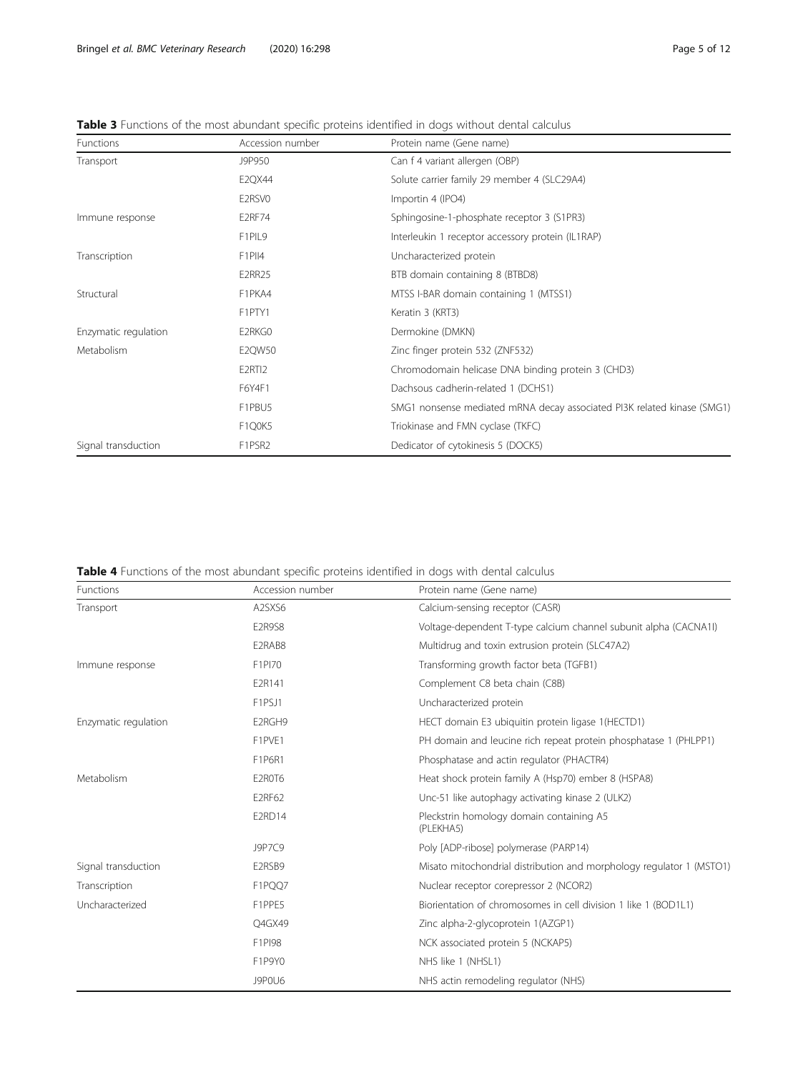| Functions            | Accession number                | Protein name (Gene name)                                                |
|----------------------|---------------------------------|-------------------------------------------------------------------------|
| Transport            | J9P950                          | Can f 4 variant allergen (OBP)                                          |
|                      | E2QX44                          | Solute carrier family 29 member 4 (SLC29A4)                             |
|                      | E2RSV0                          | Importin 4 (IPO4)                                                       |
| Immune response      | E2RF74                          | Sphingosine-1-phosphate receptor 3 (S1PR3)                              |
|                      | F1PIL9                          | Interleukin 1 receptor accessory protein (IL1RAP)                       |
| Transcription        | F1PII4                          | Uncharacterized protein                                                 |
|                      | <b>E2RR25</b>                   | BTB domain containing 8 (BTBD8)                                         |
| Structural           | F1PKA4                          | MTSS I-BAR domain containing 1 (MTSS1)                                  |
|                      | F1PTY1                          | Keratin 3 (KRT3)                                                        |
| Enzymatic regulation | E2RKG0                          | Dermokine (DMKN)                                                        |
| Metabolism           | E2QW50                          | Zinc finger protein 532 (ZNF532)                                        |
|                      | E <sub>2</sub> RTI <sub>2</sub> | Chromodomain helicase DNA binding protein 3 (CHD3)                      |
|                      | F6Y4F1                          | Dachsous cadherin-related 1 (DCHS1)                                     |
|                      | F1PBU5                          | SMG1 nonsense mediated mRNA decay associated PI3K related kinase (SMG1) |
|                      | F1Q0K5                          | Triokinase and FMN cyclase (TKFC)                                       |
| Signal transduction  | F1PSR2                          | Dedicator of cytokinesis 5 (DOCK5)                                      |

<span id="page-4-0"></span>Table 3 Functions of the most abundant specific proteins identified in dogs without dental calculus

Table 4 Functions of the most abundant specific proteins identified in dogs with dental calculus

| Functions            | Accession number | Protein name (Gene name)                                             |
|----------------------|------------------|----------------------------------------------------------------------|
| Transport            | A2SXS6           | Calcium-sensing receptor (CASR)                                      |
|                      | <b>E2R9S8</b>    | Voltage-dependent T-type calcium channel subunit alpha (CACNA1I)     |
|                      | E2RAB8           | Multidrug and toxin extrusion protein (SLC47A2)                      |
| Immune response      | F1PI70           | Transforming growth factor beta (TGFB1)                              |
|                      | E2R141           | Complement C8 beta chain (C8B)                                       |
|                      | F1PSJ1           | Uncharacterized protein                                              |
| Enzymatic regulation | E2RGH9           | HECT domain E3 ubiquitin protein ligase 1(HECTD1)                    |
|                      | F1PVE1           | PH domain and leucine rich repeat protein phosphatase 1 (PHLPP1)     |
|                      | F1P6R1           | Phosphatase and actin regulator (PHACTR4)                            |
| Metabolism           | E2ROT6           | Heat shock protein family A (Hsp70) ember 8 (HSPA8)                  |
|                      | E2RF62           | Unc-51 like autophagy activating kinase 2 (ULK2)                     |
|                      | E2RD14           | Pleckstrin homology domain containing A5<br>(PLEKHA5)                |
|                      | J9P7C9           | Poly [ADP-ribose] polymerase (PARP14)                                |
| Signal transduction  | E2RSB9           | Misato mitochondrial distribution and morphology regulator 1 (MSTO1) |
| Transcription        | F1PQQ7           | Nuclear receptor corepressor 2 (NCOR2)                               |
| Uncharacterized      | F1PPE5           | Biorientation of chromosomes in cell division 1 like 1 (BOD1L1)      |
|                      | O4GX49           | Zinc alpha-2-glycoprotein 1(AZGP1)                                   |
|                      | F1PI98           | NCK associated protein 5 (NCKAP5)                                    |
|                      | F1P9Y0           | NHS like 1 (NHSL1)                                                   |
|                      | J9P0U6           | NHS actin remodeling regulator (NHS)                                 |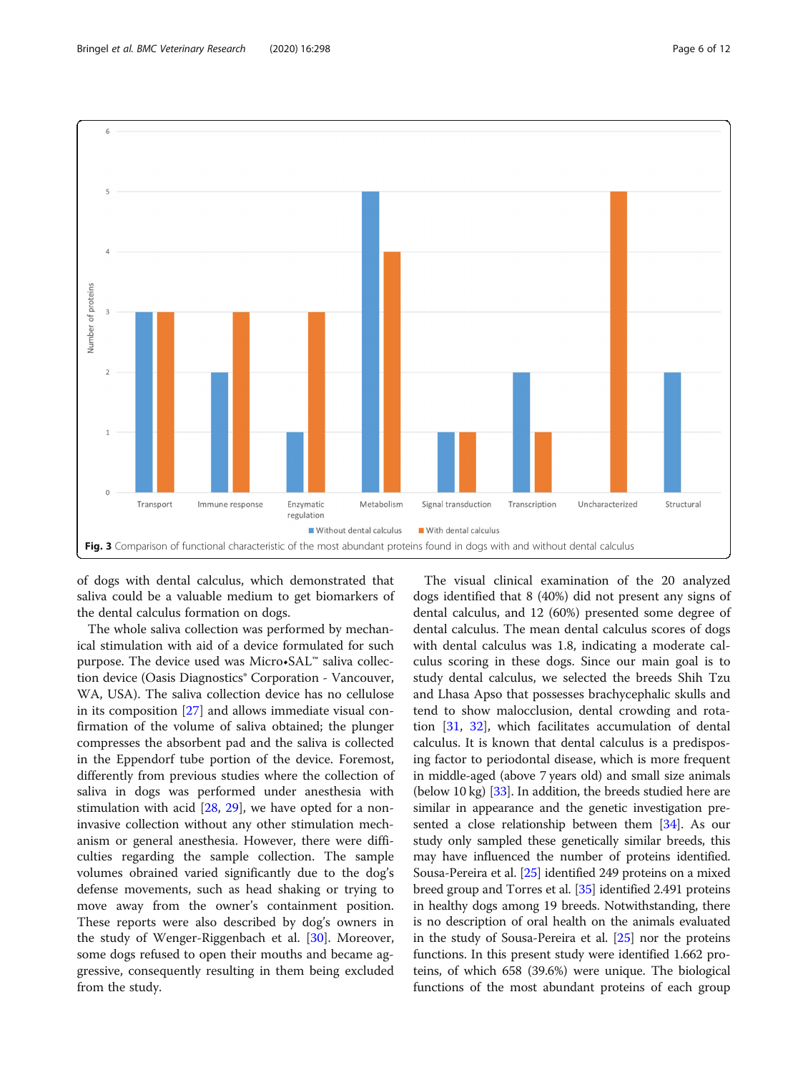<span id="page-5-0"></span>

of dogs with dental calculus, which demonstrated that saliva could be a valuable medium to get biomarkers of the dental calculus formation on dogs.

The whole saliva collection was performed by mechanical stimulation with aid of a device formulated for such purpose. The device used was Micro•SAL™ saliva collection device (Oasis Diagnostics® Corporation - Vancouver, WA, USA). The saliva collection device has no cellulose in its composition [\[27](#page-10-0)] and allows immediate visual confirmation of the volume of saliva obtained; the plunger compresses the absorbent pad and the saliva is collected in the Eppendorf tube portion of the device. Foremost, differently from previous studies where the collection of saliva in dogs was performed under anesthesia with stimulation with acid [[28,](#page-10-0) [29](#page-10-0)], we have opted for a noninvasive collection without any other stimulation mechanism or general anesthesia. However, there were difficulties regarding the sample collection. The sample volumes obrained varied significantly due to the dog's defense movements, such as head shaking or trying to move away from the owner's containment position. These reports were also described by dog's owners in the study of Wenger-Riggenbach et al. [[30\]](#page-10-0). Moreover, some dogs refused to open their mouths and became aggressive, consequently resulting in them being excluded from the study.

The visual clinical examination of the 20 analyzed dogs identified that 8 (40%) did not present any signs of dental calculus, and 12 (60%) presented some degree of dental calculus. The mean dental calculus scores of dogs with dental calculus was 1.8, indicating a moderate calculus scoring in these dogs. Since our main goal is to study dental calculus, we selected the breeds Shih Tzu and Lhasa Apso that possesses brachycephalic skulls and tend to show malocclusion, dental crowding and rotation [\[31](#page-10-0), [32](#page-10-0)], which facilitates accumulation of dental calculus. It is known that dental calculus is a predisposing factor to periodontal disease, which is more frequent in middle-aged (above 7 years old) and small size animals (below 10 kg)  $[33]$ . In addition, the breeds studied here are similar in appearance and the genetic investigation pre-sented a close relationship between them [\[34\]](#page-10-0). As our study only sampled these genetically similar breeds, this may have influenced the number of proteins identified. Sousa-Pereira et al. [\[25](#page-10-0)] identified 249 proteins on a mixed breed group and Torres et al. [[35](#page-10-0)] identified 2.491 proteins in healthy dogs among 19 breeds. Notwithstanding, there is no description of oral health on the animals evaluated in the study of Sousa-Pereira et al. [\[25\]](#page-10-0) nor the proteins functions. In this present study were identified 1.662 proteins, of which 658 (39.6%) were unique. The biological functions of the most abundant proteins of each group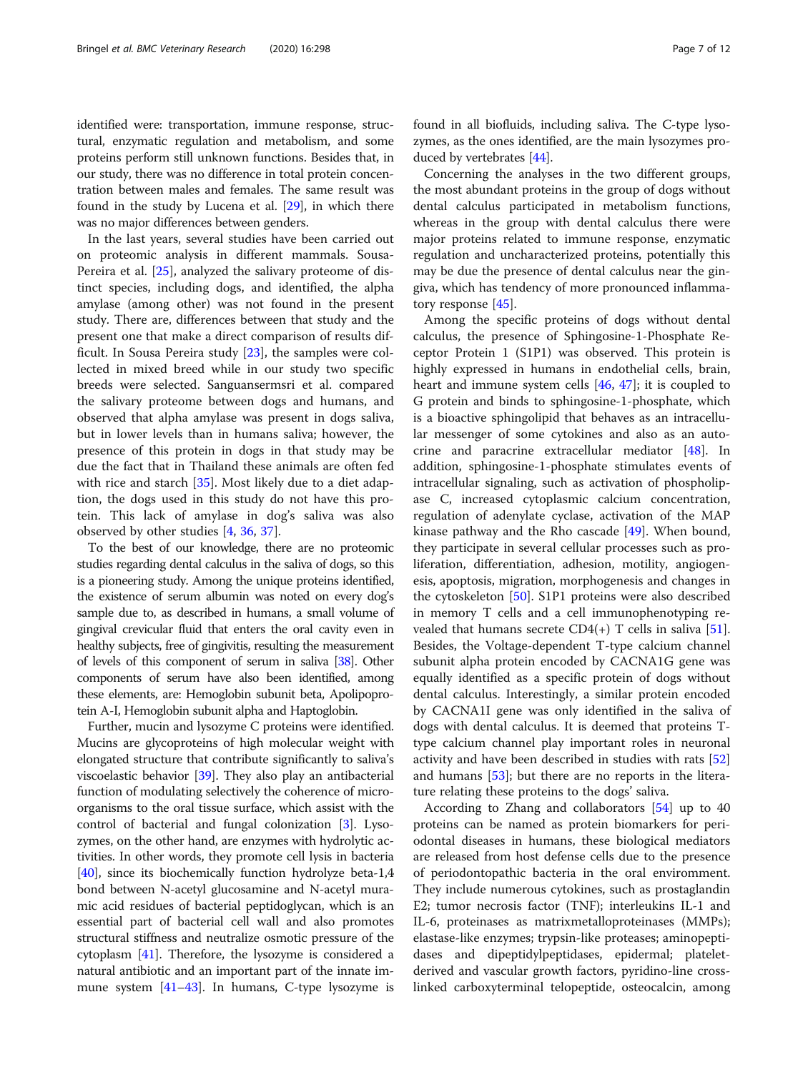identified were: transportation, immune response, structural, enzymatic regulation and metabolism, and some proteins perform still unknown functions. Besides that, in our study, there was no difference in total protein concentration between males and females. The same result was found in the study by Lucena et al. [\[29](#page-10-0)], in which there was no major differences between genders.

In the last years, several studies have been carried out on proteomic analysis in different mammals. Sousa-Pereira et al. [\[25\]](#page-10-0), analyzed the salivary proteome of distinct species, including dogs, and identified, the alpha amylase (among other) was not found in the present study. There are, differences between that study and the present one that make a direct comparison of results difficult. In Sousa Pereira study [\[23\]](#page-10-0), the samples were collected in mixed breed while in our study two specific breeds were selected. Sanguansermsri et al. compared the salivary proteome between dogs and humans, and observed that alpha amylase was present in dogs saliva, but in lower levels than in humans saliva; however, the presence of this protein in dogs in that study may be due the fact that in Thailand these animals are often fed with rice and starch [\[35\]](#page-10-0). Most likely due to a diet adaption, the dogs used in this study do not have this protein. This lack of amylase in dog's saliva was also observed by other studies [\[4](#page-10-0), [36](#page-10-0), [37\]](#page-10-0).

To the best of our knowledge, there are no proteomic studies regarding dental calculus in the saliva of dogs, so this is a pioneering study. Among the unique proteins identified, the existence of serum albumin was noted on every dog's sample due to, as described in humans, a small volume of gingival crevicular fluid that enters the oral cavity even in healthy subjects, free of gingivitis, resulting the measurement of levels of this component of serum in saliva [\[38](#page-10-0)]. Other components of serum have also been identified, among these elements, are: Hemoglobin subunit beta, Apolipoprotein A-I, Hemoglobin subunit alpha and Haptoglobin.

Further, mucin and lysozyme C proteins were identified. Mucins are glycoproteins of high molecular weight with elongated structure that contribute significantly to saliva's viscoelastic behavior [\[39\]](#page-10-0). They also play an antibacterial function of modulating selectively the coherence of microorganisms to the oral tissue surface, which assist with the control of bacterial and fungal colonization [[3\]](#page-10-0). Lysozymes, on the other hand, are enzymes with hydrolytic activities. In other words, they promote cell lysis in bacteria [[40](#page-10-0)], since its biochemically function hydrolyze beta-1,4 bond between N-acetyl glucosamine and N-acetyl muramic acid residues of bacterial peptidoglycan, which is an essential part of bacterial cell wall and also promotes structural stiffness and neutralize osmotic pressure of the cytoplasm [[41](#page-10-0)]. Therefore, the lysozyme is considered a natural antibiotic and an important part of the innate immune system [[41](#page-10-0)–[43\]](#page-10-0). In humans, C-type lysozyme is found in all biofluids, including saliva. The C-type lysozymes, as the ones identified, are the main lysozymes produced by vertebrates [[44\]](#page-10-0).

Concerning the analyses in the two different groups, the most abundant proteins in the group of dogs without dental calculus participated in metabolism functions, whereas in the group with dental calculus there were major proteins related to immune response, enzymatic regulation and uncharacterized proteins, potentially this may be due the presence of dental calculus near the gingiva, which has tendency of more pronounced inflammatory response [[45\]](#page-10-0).

Among the specific proteins of dogs without dental calculus, the presence of Sphingosine-1-Phosphate Receptor Protein 1 (S1P1) was observed. This protein is highly expressed in humans in endothelial cells, brain, heart and immune system cells [\[46,](#page-10-0) [47](#page-10-0)]; it is coupled to G protein and binds to sphingosine-1-phosphate, which is a bioactive sphingolipid that behaves as an intracellular messenger of some cytokines and also as an autocrine and paracrine extracellular mediator [\[48\]](#page-11-0). In addition, sphingosine-1-phosphate stimulates events of intracellular signaling, such as activation of phospholipase C, increased cytoplasmic calcium concentration, regulation of adenylate cyclase, activation of the MAP kinase pathway and the Rho cascade [\[49\]](#page-11-0). When bound, they participate in several cellular processes such as proliferation, differentiation, adhesion, motility, angiogenesis, apoptosis, migration, morphogenesis and changes in the cytoskeleton [[50](#page-11-0)]. S1P1 proteins were also described in memory T cells and a cell immunophenotyping revealed that humans secrete  $CD4(+)$  T cells in saliva [\[51](#page-11-0)]. Besides, the Voltage-dependent T-type calcium channel subunit alpha protein encoded by CACNA1G gene was equally identified as a specific protein of dogs without dental calculus. Interestingly, a similar protein encoded by CACNA1I gene was only identified in the saliva of dogs with dental calculus. It is deemed that proteins Ttype calcium channel play important roles in neuronal activity and have been described in studies with rats [[52](#page-11-0)] and humans  $[53]$  $[53]$  $[53]$ ; but there are no reports in the literature relating these proteins to the dogs' saliva.

According to Zhang and collaborators [\[54](#page-11-0)] up to 40 proteins can be named as protein biomarkers for periodontal diseases in humans, these biological mediators are released from host defense cells due to the presence of periodontopathic bacteria in the oral enviromment. They include numerous cytokines, such as prostaglandin E2; tumor necrosis factor (TNF); interleukins IL-1 and IL-6, proteinases as matrixmetalloproteinases (MMPs); elastase-like enzymes; trypsin-like proteases; aminopeptidases and dipeptidylpeptidases, epidermal; plateletderived and vascular growth factors, pyridino-line crosslinked carboxyterminal telopeptide, osteocalcin, among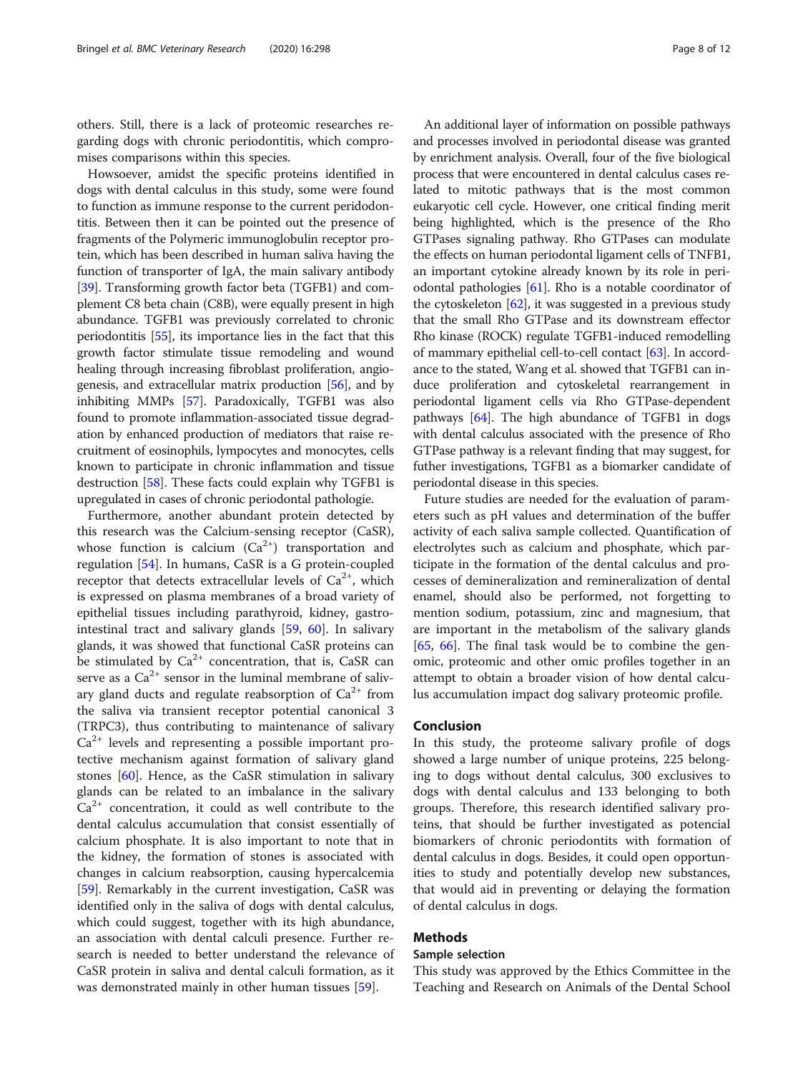others. Still, there is a lack of proteomic researches regarding dogs with chronic periodontitis, which compromises comparisons within this species.

Howsoever, amidst the specific proteins identified in dogs with dental calculus in this study, some were found to function as immune response to the current peridodontitis. Between then it can be pointed out the presence of fragments of the Polymeric immunoglobulin receptor protein, which has been described in human saliva having the function of transporter of IgA, the main salivary antibody [[39](#page-10-0)]. Transforming growth factor beta (TGFB1) and complement C8 beta chain (C8B), were equally present in high abundance. TGFB1 was previously correlated to chronic periodontitis [\[55\]](#page-11-0), its importance lies in the fact that this growth factor stimulate tissue remodeling and wound healing through increasing fibroblast proliferation, angiogenesis, and extracellular matrix production [[56\]](#page-11-0), and by inhibiting MMPs [\[57](#page-11-0)]. Paradoxically, TGFB1 was also found to promote inflammation-associated tissue degradation by enhanced production of mediators that raise recruitment of eosinophils, lympocytes and monocytes, cells known to participate in chronic inflammation and tissue destruction [\[58\]](#page-11-0). These facts could explain why TGFB1 is upregulated in cases of chronic periodontal pathologie.

Furthermore, another abundant protein detected by this research was the Calcium-sensing receptor (CaSR), whose function is calcium  $(Ca^{2+})$  transportation and regulation [\[54](#page-11-0)]. In humans, CaSR is a G protein-coupled receptor that detects extracellular levels of  $Ca^{2+}$ , which is expressed on plasma membranes of a broad variety of epithelial tissues including parathyroid, kidney, gastrointestinal tract and salivary glands [[59](#page-11-0), [60](#page-11-0)]. In salivary glands, it was showed that functional CaSR proteins can be stimulated by  $Ca^{2+}$  concentration, that is, CaSR can serve as a  $Ca^{2+}$  sensor in the luminal membrane of salivary gland ducts and regulate reabsorption of  $Ca^{2+}$  from the saliva via transient receptor potential canonical 3 (TRPC3), thus contributing to maintenance of salivary  $Ca<sup>2+</sup>$  levels and representing a possible important protective mechanism against formation of salivary gland stones [[60\]](#page-11-0). Hence, as the CaSR stimulation in salivary glands can be related to an imbalance in the salivary  $Ca<sup>2+</sup>$  concentration, it could as well contribute to the dental calculus accumulation that consist essentially of calcium phosphate. It is also important to note that in the kidney, the formation of stones is associated with changes in calcium reabsorption, causing hypercalcemia [[59\]](#page-11-0). Remarkably in the current investigation, CaSR was identified only in the saliva of dogs with dental calculus, which could suggest, together with its high abundance, an association with dental calculi presence. Further research is needed to better understand the relevance of CaSR protein in saliva and dental calculi formation, as it was demonstrated mainly in other human tissues [\[59\]](#page-11-0).

An additional layer of information on possible pathways and processes involved in periodontal disease was granted by enrichment analysis. Overall, four of the five biological process that were encountered in dental calculus cases related to mitotic pathways that is the most common eukaryotic cell cycle. However, one critical finding merit being highlighted, which is the presence of the Rho GTPases signaling pathway. Rho GTPases can modulate the effects on human periodontal ligament cells of TNFB1, an important cytokine already known by its role in periodontal pathologies [[61](#page-11-0)]. Rho is a notable coordinator of the cytoskeleton  $[62]$ , it was suggested in a previous study that the small Rho GTPase and its downstream effector Rho kinase (ROCK) regulate TGFB1-induced remodelling of mammary epithelial cell-to-cell contact [\[63\]](#page-11-0). In accordance to the stated, Wang et al. showed that TGFB1 can induce proliferation and cytoskeletal rearrangement in periodontal ligament cells via Rho GTPase-dependent pathways [[64](#page-11-0)]. The high abundance of TGFB1 in dogs with dental calculus associated with the presence of Rho GTPase pathway is a relevant finding that may suggest, for futher investigations, TGFB1 as a biomarker candidate of periodontal disease in this species.

Future studies are needed for the evaluation of parameters such as pH values and determination of the buffer activity of each saliva sample collected. Quantification of electrolytes such as calcium and phosphate, which participate in the formation of the dental calculus and processes of demineralization and remineralization of dental enamel, should also be performed, not forgetting to mention sodium, potassium, zinc and magnesium, that are important in the metabolism of the salivary glands [[65,](#page-11-0) [66](#page-11-0)]. The final task would be to combine the genomic, proteomic and other omic profiles together in an attempt to obtain a broader vision of how dental calculus accumulation impact dog salivary proteomic profile.

### Conclusion

In this study, the proteome salivary profile of dogs showed a large number of unique proteins, 225 belonging to dogs without dental calculus, 300 exclusives to dogs with dental calculus and 133 belonging to both groups. Therefore, this research identified salivary proteins, that should be further investigated as potencial biomarkers of chronic periodontits with formation of dental calculus in dogs. Besides, it could open opportunities to study and potentially develop new substances, that would aid in preventing or delaying the formation of dental calculus in dogs.

## Methods

## Sample selection

This study was approved by the Ethics Committee in the Teaching and Research on Animals of the Dental School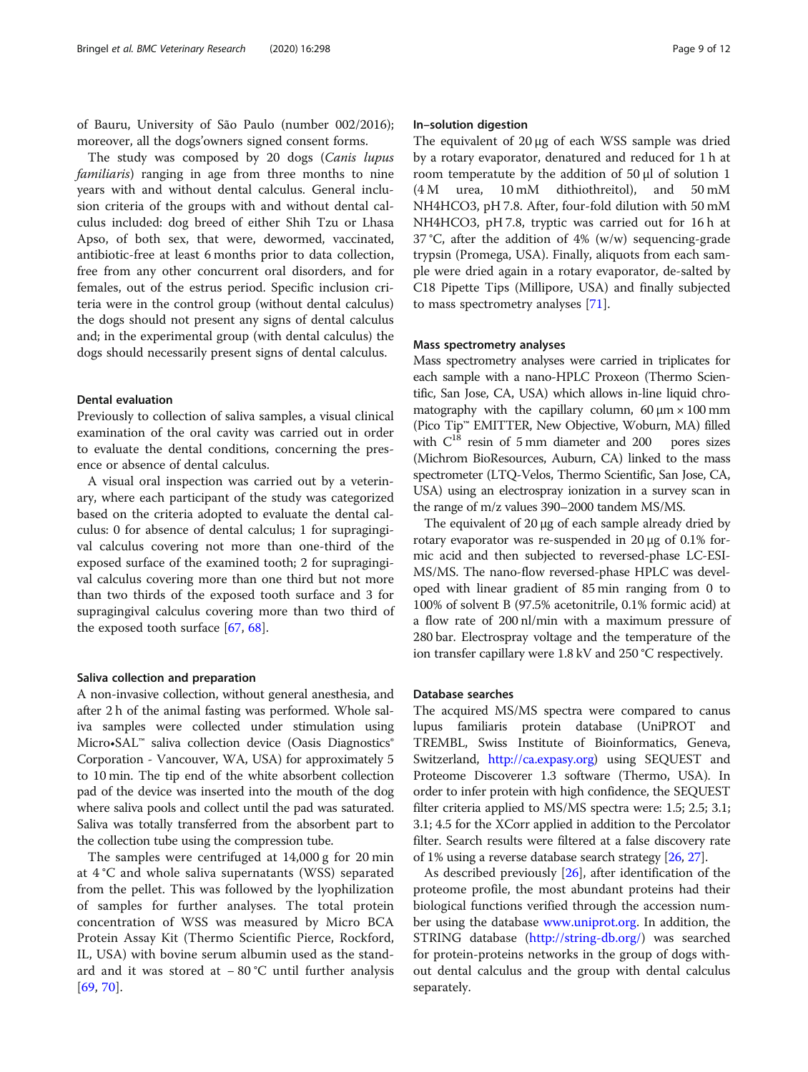of Bauru, University of São Paulo (number 002/2016); moreover, all the dogs'owners signed consent forms.

The study was composed by 20 dogs (Canis lupus familiaris) ranging in age from three months to nine years with and without dental calculus. General inclusion criteria of the groups with and without dental calculus included: dog breed of either Shih Tzu or Lhasa Apso, of both sex, that were, dewormed, vaccinated, antibiotic-free at least 6 months prior to data collection, free from any other concurrent oral disorders, and for females, out of the estrus period. Specific inclusion criteria were in the control group (without dental calculus) the dogs should not present any signs of dental calculus and; in the experimental group (with dental calculus) the dogs should necessarily present signs of dental calculus.

#### Dental evaluation

Previously to collection of saliva samples, a visual clinical examination of the oral cavity was carried out in order to evaluate the dental conditions, concerning the presence or absence of dental calculus.

A visual oral inspection was carried out by a veterinary, where each participant of the study was categorized based on the criteria adopted to evaluate the dental calculus: 0 for absence of dental calculus; 1 for supragingival calculus covering not more than one-third of the exposed surface of the examined tooth; 2 for supragingival calculus covering more than one third but not more than two thirds of the exposed tooth surface and 3 for supragingival calculus covering more than two third of the exposed tooth surface [\[67,](#page-11-0) [68\]](#page-11-0).

#### Saliva collection and preparation

A non-invasive collection, without general anesthesia, and after 2 h of the animal fasting was performed. Whole saliva samples were collected under stimulation using Micro•SAL™ saliva collection device (Oasis Diagnostics® Corporation - Vancouver, WA, USA) for approximately 5 to 10 min. The tip end of the white absorbent collection pad of the device was inserted into the mouth of the dog where saliva pools and collect until the pad was saturated. Saliva was totally transferred from the absorbent part to the collection tube using the compression tube.

The samples were centrifuged at 14,000 g for 20 min at 4 °C and whole saliva supernatants (WSS) separated from the pellet. This was followed by the lyophilization of samples for further analyses. The total protein concentration of WSS was measured by Micro BCA Protein Assay Kit (Thermo Scientific Pierce, Rockford, IL, USA) with bovine serum albumin used as the standard and it was stored at − 80 °C until further analysis [[69,](#page-11-0) [70](#page-11-0)].

#### In–solution digestion

The equivalent of 20 μg of each WSS sample was dried by a rotary evaporator, denatured and reduced for 1 h at room temperatute by the addition of  $50 \mu l$  of solution 1 (4 M urea, 10 mM dithiothreitol), and 50 mM NH4HCO3, pH 7.8. After, four-fold dilution with 50 mM NH4HCO3, pH 7.8, tryptic was carried out for 16 h at 37 °C, after the addition of 4% (w/w) sequencing-grade trypsin (Promega, USA). Finally, aliquots from each sample were dried again in a rotary evaporator, de-salted by C18 Pipette Tips (Millipore, USA) and finally subjected to mass spectrometry analyses [[71\]](#page-11-0).

#### Mass spectrometry analyses

Mass spectrometry analyses were carried in triplicates for each sample with a nano-HPLC Proxeon (Thermo Scientific, San Jose, CA, USA) which allows in-line liquid chromatography with the capillary column,  $60 \mu m \times 100 \text{ mm}$ (Pico Tip™ EMITTER, New Objective, Woburn, MA) filled with  $C^{18}$  resin of 5 mm diameter and 200 pores sizes (Michrom BioResources, Auburn, CA) linked to the mass spectrometer (LTQ-Velos, Thermo Scientific, San Jose, CA, USA) using an electrospray ionization in a survey scan in the range of m/z values 390–2000 tandem MS/MS.

The equivalent of 20 μg of each sample already dried by rotary evaporator was re-suspended in 20 μg of 0.1% formic acid and then subjected to reversed-phase LC-ESI-MS/MS. The nano-flow reversed-phase HPLC was developed with linear gradient of 85 min ranging from 0 to 100% of solvent B (97.5% acetonitrile, 0.1% formic acid) at a flow rate of 200 nl/min with a maximum pressure of 280 bar. Electrospray voltage and the temperature of the ion transfer capillary were 1.8 kV and 250 °C respectively.

## Database searches

The acquired MS/MS spectra were compared to canus lupus familiaris protein database (UniPROT and TREMBL, Swiss Institute of Bioinformatics, Geneva, Switzerland, [http://ca.expasy.org\)](http://ca.expasy.org) using SEQUEST and Proteome Discoverer 1.3 software (Thermo, USA). In order to infer protein with high confidence, the SEQUEST filter criteria applied to MS/MS spectra were: 1.5; 2.5; 3.1; 3.1; 4.5 for the XCorr applied in addition to the Percolator filter. Search results were filtered at a false discovery rate of 1% using a reverse database search strategy [[26](#page-10-0), [27\]](#page-10-0).

As described previously [[26\]](#page-10-0), after identification of the proteome profile, the most abundant proteins had their biological functions verified through the accession number using the database [www.uniprot.org](http://www.uniprot.org). In addition, the STRING database [\(http://string-db.org/\)](http://string-db.org/) was searched for protein-proteins networks in the group of dogs without dental calculus and the group with dental calculus separately.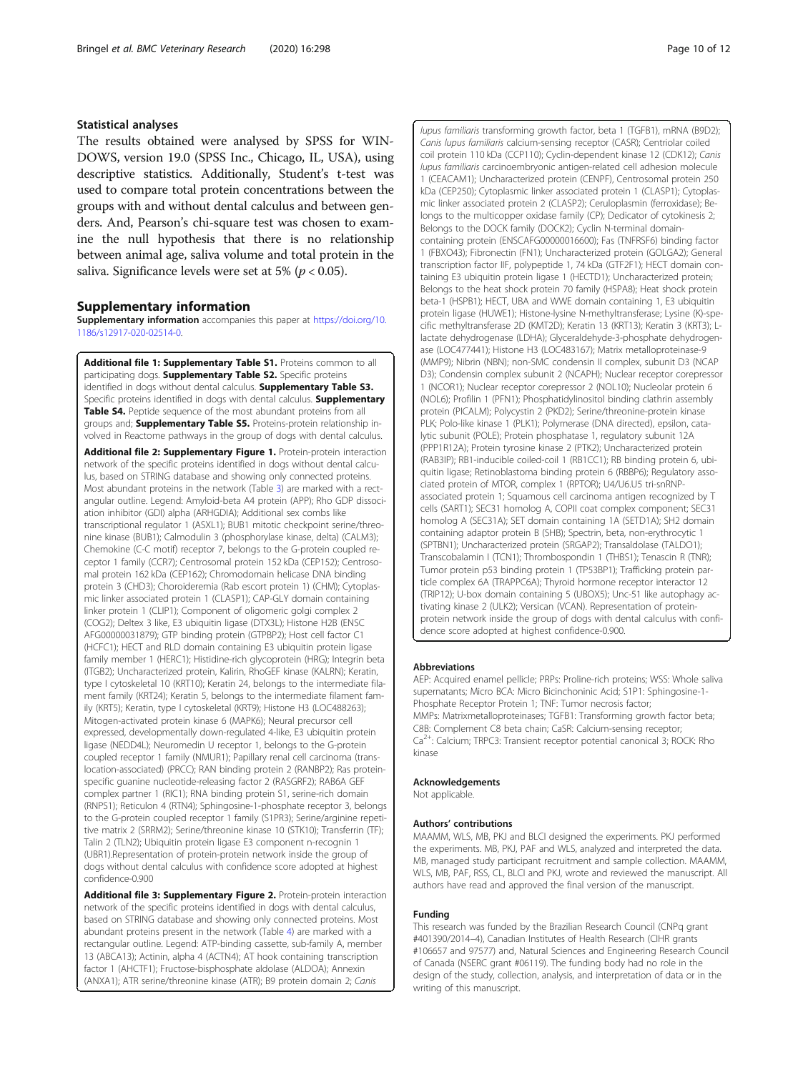## <span id="page-9-0"></span>Statistical analyses

The results obtained were analysed by SPSS for WIN-DOWS, version 19.0 (SPSS Inc., Chicago, IL, USA), using descriptive statistics. Additionally, Student's t-test was used to compare total protein concentrations between the groups with and without dental calculus and between genders. And, Pearson's chi-square test was chosen to examine the null hypothesis that there is no relationship between animal age, saliva volume and total protein in the saliva. Significance levels were set at 5% ( $p < 0.05$ ).

#### Supplementary information

Supplementary information accompanies this paper at [https://doi.org/10.](https://doi.org/10.1186/s12917-020-02514-0) [1186/s12917-020-02514-0](https://doi.org/10.1186/s12917-020-02514-0).

Additional file 1: Supplementary Table S1. Proteins common to all participating dogs. **Supplementary Table S2.** Specific proteins identified in dogs without dental calculus. Supplementary Table S3. Specific proteins identified in dogs with dental calculus. **Supplementary** Table S4. Peptide sequence of the most abundant proteins from all groups and; Supplementary Table S5. Proteins-protein relationship involved in Reactome pathways in the group of dogs with dental calculus. Additional file 2: Supplementary Figure 1. Protein-protein interaction network of the specific proteins identified in dogs without dental calculus, based on STRING database and showing only connected proteins. Most abundant proteins in the network (Table 3) are marked with a rectangular outline. Legend: Amyloid-beta A4 protein (APP); Rho GDP dissociation inhibitor (GDI) alpha (ARHGDIA); Additional sex combs like transcriptional regulator 1 (ASXL1); BUB1 mitotic checkpoint serine/threonine kinase (BUB1); Calmodulin 3 (phosphorylase kinase, delta) (CALM3); Chemokine (C-C motif) receptor 7, belongs to the G-protein coupled receptor 1 family (CCR7); Centrosomal protein 152 kDa (CEP152); Centrosomal protein 162 kDa (CEP162); Chromodomain helicase DNA binding protein 3 (CHD3); Choroideremia (Rab escort protein 1) (CHM); Cytoplasmic linker associated protein 1 (CLASP1); CAP-GLY domain containing linker protein 1 (CLIP1); Component of oligomeric golgi complex 2 (COG2); Deltex 3 like, E3 ubiquitin ligase (DTX3L); Histone H2B (ENSC AFG00000031879); GTP binding protein (GTPBP2); Host cell factor C1 (HCFC1); HECT and RLD domain containing E3 ubiquitin protein ligase family member 1 (HERC1); Histidine-rich glycoprotein (HRG); Integrin beta (ITGB2); Uncharacterized protein, Kalirin, RhoGEF kinase (KALRN); Keratin, type I cytoskeletal 10 (KRT10); Keratin 24, belongs to the intermediate filament family (KRT24); Keratin 5, belongs to the intermediate filament family (KRT5); Keratin, type I cytoskeletal (KRT9); Histone H3 (LOC488263); Mitogen-activated protein kinase 6 (MAPK6); Neural precursor cell expressed, developmentally down-regulated 4-like, E3 ubiquitin protein ligase (NEDD4L); Neuromedin U receptor 1, belongs to the G-protein coupled receptor 1 family (NMUR1); Papillary renal cell carcinoma (translocation-associated) (PRCC); RAN binding protein 2 (RANBP2); Ras proteinspecific guanine nucleotide-releasing factor 2 (RASGRF2); RAB6A GEF complex partner 1 (RIC1); RNA binding protein S1, serine-rich domain (RNPS1); Reticulon 4 (RTN4); Sphingosine-1-phosphate receptor 3, belongs to the G-protein coupled receptor 1 family (S1PR3); Serine/arginine repetitive matrix 2 (SRRM2); Serine/threonine kinase 10 (STK10); Transferrin (TF); Talin 2 (TLN2); Ubiquitin protein ligase E3 component n-recognin 1 (UBR1).Representation of protein-protein network inside the group of dogs without dental calculus with confidence score adopted at highest confidence-0.900

Additional file 3: Supplementary Figure 2. Protein-protein interaction network of the specific proteins identified in dogs with dental calculus, based on STRING database and showing only connected proteins. Most abundant proteins present in the network (Table 4) are marked with a rectangular outline. Legend: ATP-binding cassette, sub-family A, member 13 (ABCA13); Actinin, alpha 4 (ACTN4); AT hook containing transcription factor 1 (AHCTF1); Fructose-bisphosphate aldolase (ALDOA); Annexin (ANXA1); ATR serine/threonine kinase (ATR); B9 protein domain 2; Canis

lupus familiaris transforming growth factor, beta 1 (TGFB1), mRNA (B9D2); Canis lupus familiaris calcium-sensing receptor (CASR); Centriolar coiled coil protein 110 kDa (CCP110); Cyclin-dependent kinase 12 (CDK12); Canis lupus familiaris carcinoembryonic antigen-related cell adhesion molecule 1 (CEACAM1); Uncharacterized protein (CENPF), Centrosomal protein 250 kDa (CEP250); Cytoplasmic linker associated protein 1 (CLASP1); Cytoplasmic linker associated protein 2 (CLASP2); Ceruloplasmin (ferroxidase); Belongs to the multicopper oxidase family (CP); Dedicator of cytokinesis 2; Belongs to the DOCK family (DOCK2); Cyclin N-terminal domaincontaining protein (ENSCAFG00000016600); Fas (TNFRSF6) binding factor 1 (FBXO43); Fibronectin (FN1); Uncharacterized protein (GOLGA2); General transcription factor IIF, polypeptide 1, 74 kDa (GTF2F1); HECT domain containing E3 ubiquitin protein ligase 1 (HECTD1); Uncharacterized protein; Belongs to the heat shock protein 70 family (HSPA8); Heat shock protein beta-1 (HSPB1); HECT, UBA and WWE domain containing 1, E3 ubiquitin protein ligase (HUWE1); Histone-lysine N-methyltransferase; Lysine (K)-specific methyltransferase 2D (KMT2D); Keratin 13 (KRT13); Keratin 3 (KRT3); Llactate dehydrogenase (LDHA); Glyceraldehyde-3-phosphate dehydrogenase (LOC477441); Histone H3 (LOC483167); Matrix metalloproteinase-9 (MMP9); Nibrin (NBN); non-SMC condensin II complex, subunit D3 (NCAP D3); Condensin complex subunit 2 (NCAPH); Nuclear receptor corepressor 1 (NCOR1); Nuclear receptor corepressor 2 (NOL10); Nucleolar protein 6 (NOL6); Profilin 1 (PFN1); Phosphatidylinositol binding clathrin assembly protein (PICALM); Polycystin 2 (PKD2); Serine/threonine-protein kinase PLK; Polo-like kinase 1 (PLK1); Polymerase (DNA directed), epsilon, catalytic subunit (POLE); Protein phosphatase 1, regulatory subunit 12A (PPP1R12A); Protein tyrosine kinase 2 (PTK2); Uncharacterized protein (RAB3IP); RB1-inducible coiled-coil 1 (RB1CC1); RB binding protein 6, ubiquitin ligase; Retinoblastoma binding protein 6 (RBBP6); Regulatory associated protein of MTOR, complex 1 (RPTOR); U4/U6.U5 tri-snRNPassociated protein 1; Squamous cell carcinoma antigen recognized by T cells (SART1); SEC31 homolog A, COPII coat complex component; SEC31 homolog A (SEC31A); SET domain containing 1A (SETD1A); SH2 domain containing adaptor protein B (SHB); Spectrin, beta, non-erythrocytic 1 (SPTBN1); Uncharacterized protein (SRGAP2); Transaldolase (TALDO1); Transcobalamin I (TCN1); Thrombospondin 1 (THBS1); Tenascin R (TNR); Tumor protein p53 binding protein 1 (TP53BP1); Trafficking protein particle complex 6A (TRAPPC6A); Thyroid hormone receptor interactor 12 (TRIP12); U-box domain containing 5 (UBOX5); Unc-51 like autophagy activating kinase 2 (ULK2); Versican (VCAN). Representation of proteinprotein network inside the group of dogs with dental calculus with confidence score adopted at highest confidence-0.900.

#### Abbreviations

AEP: Acquired enamel pellicle; PRPs: Proline-rich proteins; WSS: Whole saliva supernatants; Micro BCA: Micro Bicinchoninic Acid; S1P1: Sphingosine-1- Phosphate Receptor Protein 1; TNF: Tumor necrosis factor; MMPs: Matrixmetalloproteinases; TGFB1: Transforming growth factor beta; C8B: Complement C8 beta chain; CaSR: Calcium-sensing receptor; Ca2+: Calcium; TRPC3: Transient receptor potential canonical 3; ROCK: Rho kinase

#### Acknowledgements

Not applicable.

#### Authors' contributions

MAAMM, WLS, MB, PKJ and BLCI designed the experiments. PKJ performed the experiments. MB, PKJ, PAF and WLS, analyzed and interpreted the data. MB, managed study participant recruitment and sample collection. MAAMM, WLS, MB, PAE, RSS, CL, BLCL and PKJ, wrote and reviewed the manuscript. All authors have read and approved the final version of the manuscript.

#### Funding

This research was funded by the Brazilian Research Council (CNPq grant #401390/2014–4), Canadian Institutes of Health Research (CIHR grants #106657 and 97577) and, Natural Sciences and Engineering Research Council of Canada (NSERC grant #06119). The funding body had no role in the design of the study, collection, analysis, and interpretation of data or in the writing of this manuscript.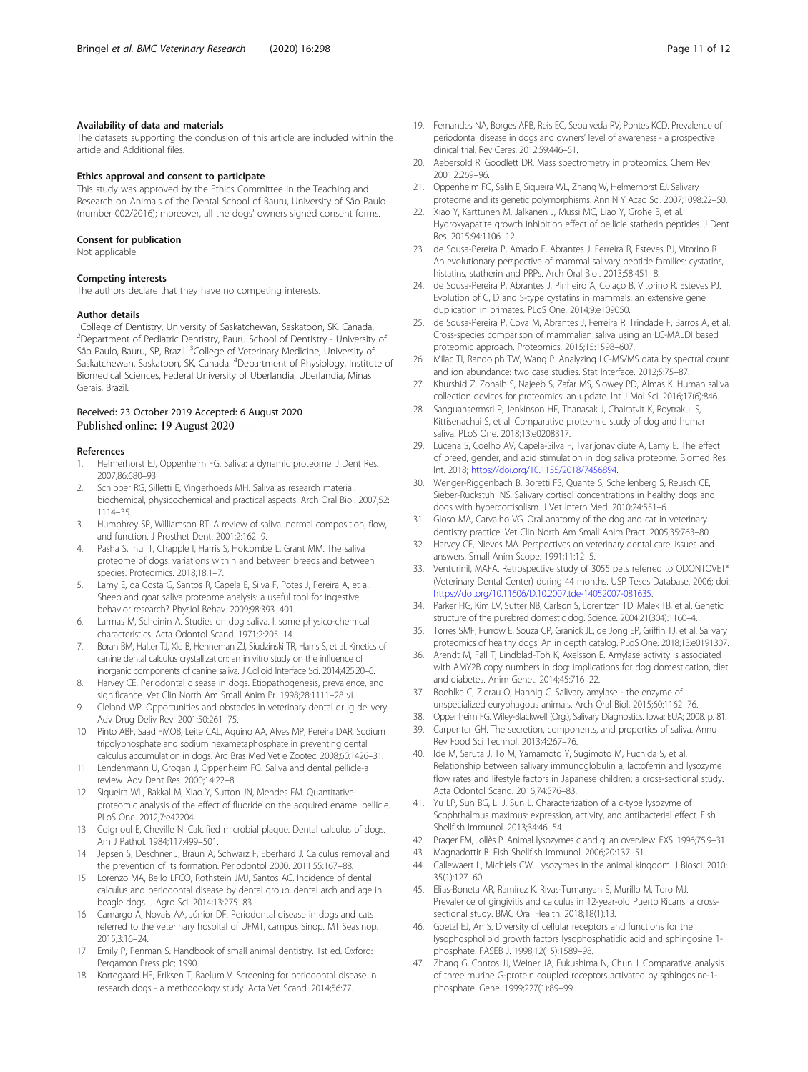#### <span id="page-10-0"></span>Availability of data and materials

The datasets supporting the conclusion of this article are included within the article and Additional files.

#### Ethics approval and consent to participate

This study was approved by the Ethics Committee in the Teaching and Research on Animals of the Dental School of Bauru, University of São Paulo (number 002/2016); moreover, all the dogs' owners signed consent forms.

#### Consent for publication

Not applicable.

#### Competing interests

The authors declare that they have no competing interests.

#### Author details

<sup>1</sup>College of Dentistry, University of Saskatchewan, Saskatoon, SK, Canada. <sup>2</sup>Department of Pediatric Dentistry, Bauru School of Dentistry - University of São Paulo, Bauru, SP, Brazil. <sup>3</sup>College of Veterinary Medicine, University of Saskatchewan, Saskatoon, SK, Canada. <sup>4</sup>Department of Physiology, Institute of Biomedical Sciences, Federal University of Uberlandia, Uberlandia, Minas Gerais, Brazil.

## Received: 23 October 2019 Accepted: 6 August 2020 Published online: 19 August 2020

#### References

- 1. Helmerhorst EJ, Oppenheim FG. Saliva: a dynamic proteome. J Dent Res. 2007;86:680–93.
- 2. Schipper RG, Silletti E, Vingerhoeds MH. Saliva as research material: biochemical, physicochemical and practical aspects. Arch Oral Biol. 2007;52: 1114–35.
- 3. Humphrey SP, Williamson RT. A review of saliva: normal composition, flow, and function. J Prosthet Dent. 2001;2:162–9.
- 4. Pasha S, Inui T, Chapple I, Harris S, Holcombe L, Grant MM. The saliva proteome of dogs: variations within and between breeds and between species. Proteomics. 2018;18:1-7.
- 5. Lamy E, da Costa G, Santos R, Capela E, Silva F, Potes J, Pereira A, et al. Sheep and goat saliva proteome analysis: a useful tool for ingestive behavior research? Physiol Behav. 2009;98:393–401.
- Larmas M, Scheinin A. Studies on dog saliva. I. some physico-chemical characteristics. Acta Odontol Scand. 1971;2:205–14.
- 7. Borah BM, Halter TJ, Xie B, Henneman ZJ, Siudzinski TR, Harris S, et al. Kinetics of canine dental calculus crystallization: an in vitro study on the influence of inorganic components of canine saliva. J Colloid Interface Sci. 2014;425:20–6.
- 8. Harvey CE. Periodontal disease in dogs. Etiopathogenesis, prevalence, and significance. Vet Clin North Am Small Anim Pr. 1998;28:1111–28 vi.
- 9. Cleland WP. Opportunities and obstacles in veterinary dental drug delivery. Adv Drug Deliv Rev. 2001;50:261–75.
- 10. Pinto ABF, Saad FMOB, Leite CAL, Aquino AA, Alves MP, Pereira DAR. Sodium tripolyphosphate and sodium hexametaphosphate in preventing dental calculus accumulation in dogs. Arq Bras Med Vet e Zootec. 2008;60:1426–31.
- 11. Lendenmann U, Grogan J, Oppenheim FG. Saliva and dental pellicle-a review. Adv Dent Res. 2000;14:22–8.
- 12. Siqueira WL, Bakkal M, Xiao Y, Sutton JN, Mendes FM. Quantitative proteomic analysis of the effect of fluoride on the acquired enamel pellicle. PLoS One. 2012;7:e42204.
- 13. Coignoul E, Cheville N. Calcified microbial plaque. Dental calculus of dogs. Am J Pathol. 1984;117:499–501.
- 14. Jepsen S, Deschner J, Braun A, Schwarz F, Eberhard J. Calculus removal and the prevention of its formation. Periodontol 2000. 2011;55:167–88.
- 15. Lorenzo MA, Bello LFCO, Rothstein JMJ, Santos AC. Incidence of dental calculus and periodontal disease by dental group, dental arch and age in beagle dogs. J Agro Sci. 2014;13:275–83.
- 16. Camargo A, Novais AA, Júnior DF. Periodontal disease in dogs and cats referred to the veterinary hospital of UFMT, campus Sinop. MT Seasinop. 2015;3:16–24.
- 17. Emily P, Penman S. Handbook of small animal dentistry. 1st ed. Oxford: Pergamon Press plc; 1990.
- 18. Kortegaard HE, Eriksen T, Baelum V. Screening for periodontal disease in research dogs - a methodology study. Acta Vet Scand. 2014;56:77.
- 19. Fernandes NA, Borges APB, Reis EC, Sepulveda RV, Pontes KCD. Prevalence of periodontal disease in dogs and owners' level of awareness - a prospective clinical trial. Rev Ceres. 2012;59:446–51.
- 20. Aebersold R, Goodlett DR. Mass spectrometry in proteomics. Chem Rev. 2001;2:269–96.
- 21. Oppenheim FG, Salih E, Siqueira WL, Zhang W, Helmerhorst EJ. Salivary proteome and its genetic polymorphisms. Ann N Y Acad Sci. 2007;1098:22–50.
- Xiao Y, Karttunen M, Jalkanen J, Mussi MC, Liao Y, Grohe B, et al. Hydroxyapatite growth inhibition effect of pellicle statherin peptides. J Dent Res. 2015;94:1106–12.
- 23. de Sousa-Pereira P, Amado F, Abrantes J, Ferreira R, Esteves PJ, Vitorino R. An evolutionary perspective of mammal salivary peptide families: cystatins, histatins, statherin and PRPs. Arch Oral Biol. 2013;58:451–8.
- 24. de Sousa-Pereira P, Abrantes J, Pinheiro A, Colaço B, Vitorino R, Esteves PJ. Evolution of C, D and S-type cystatins in mammals: an extensive gene duplication in primates. PLoS One. 2014;9:e109050.
- 25. de Sousa-Pereira P, Cova M, Abrantes J, Ferreira R, Trindade F, Barros A, et al. Cross-species comparison of mammalian saliva using an LC-MALDI based proteomic approach. Proteomics. 2015;15:1598–607.
- 26. Milac TI, Randolph TW, Wang P. Analyzing LC-MS/MS data by spectral count and ion abundance: two case studies. Stat Interface. 2012;5:75–87.
- 27. Khurshid Z, Zohaib S, Najeeb S, Zafar MS, Slowey PD, Almas K. Human saliva collection devices for proteomics: an update. Int J Mol Sci. 2016;17(6):846.
- 28. Sanguansermsri P, Jenkinson HF, Thanasak J, Chairatvit K, Roytrakul S, Kittisenachai S, et al. Comparative proteomic study of dog and human saliva. PLoS One. 2018;13:e0208317.
- 29. Lucena S, Coelho AV, Capela-Silva F, Tvarijonaviciute A, Lamy E. The effect of breed, gender, and acid stimulation in dog saliva proteome. Biomed Res Int. 2018; [https://doi.org/10.1155/2018/7456894.](https://doi.org/10.1155/2018/7456894)
- 30. Wenger-Riggenbach B, Boretti FS, Quante S, Schellenberg S, Reusch CE, Sieber-Ruckstuhl NS. Salivary cortisol concentrations in healthy dogs and dogs with hypercortisolism. J Vet Intern Med. 2010;24:551–6.
- 31. Gioso MA, Carvalho VG. Oral anatomy of the dog and cat in veterinary dentistry practice. Vet Clin North Am Small Anim Pract. 2005;35:763–80.
- 32. Harvey CE, Nieves MA. Perspectives on veterinary dental care: issues and answers. Small Anim Scope. 1991;11:12–5.
- 33. VenturiniI, MAFA. Retrospective study of 3055 pets referred to ODONTOVET® (Veterinary Dental Center) during 44 months. USP Teses Database. 2006; doi: <https://doi.org/10.11606/D.10.2007.tde-14052007-081635>.
- 34. Parker HG, Kim LV, Sutter NB, Carlson S, Lorentzen TD, Malek TB, et al. Genetic structure of the purebred domestic dog. Science. 2004;21(304):1160–4.
- 35. Torres SMF, Furrow E, Souza CP, Granick JL, de Jong EP, Griffin TJ, et al. Salivary proteomics of healthy dogs: An in depth catalog. PLoS One. 2018;13:e0191307.
- 36. Arendt M, Fall T, Lindblad-Toh K, Axelsson E. Amylase activity is associated with AMY2B copy numbers in dog: implications for dog domestication, diet and diabetes. Anim Genet. 2014;45:716–22.
- 37. Boehlke C, Zierau O, Hannig C. Salivary amylase the enzyme of unspecialized euryphagous animals. Arch Oral Biol. 2015;60:1162–76.
- 38. Oppenheim FG. Wiley-Blackwell (Org.), Salivary Diagnostics. Iowa: EUA; 2008. p. 81.
- 39. Carpenter GH. The secretion, components, and properties of saliva. Annu Rev Food Sci Technol. 2013;4:267–76.
- Ide M, Saruta J, To M, Yamamoto Y, Sugimoto M, Fuchida S, et al. Relationship between salivary immunoglobulin a, lactoferrin and lysozyme flow rates and lifestyle factors in Japanese children: a cross-sectional study. Acta Odontol Scand. 2016;74:576–83.
- 41. Yu LP, Sun BG, Li J, Sun L. Characterization of a c-type lysozyme of Scophthalmus maximus: expression, activity, and antibacterial effect. Fish Shellfish Immunol. 2013;34:46–54.
- 42. Prager EM, Jollès P. Animal lysozymes c and g: an overview. EXS. 1996;75:9–31.
- 43. Magnadottir B. Fish Shellfish Immunol. 2006;20:137–51.
- 44. Callewaert L, Michiels CW. Lysozymes in the animal kingdom. J Biosci. 2010; 35(1):127–60.
- 45. Elias-Boneta AR, Ramirez K, Rivas-Tumanyan S, Murillo M, Toro MJ. Prevalence of gingivitis and calculus in 12-year-old Puerto Ricans: a crosssectional study. BMC Oral Health. 2018;18(1):13.
- 46. Goetzl EJ, An S. Diversity of cellular receptors and functions for the lysophospholipid growth factors lysophosphatidic acid and sphingosine 1 phosphate. FASEB J. 1998;12(15):1589–98.
- 47. Zhang G, Contos JJ, Weiner JA, Fukushima N, Chun J. Comparative analysis of three murine G-protein coupled receptors activated by sphingosine-1 phosphate. Gene. 1999;227(1):89–99.